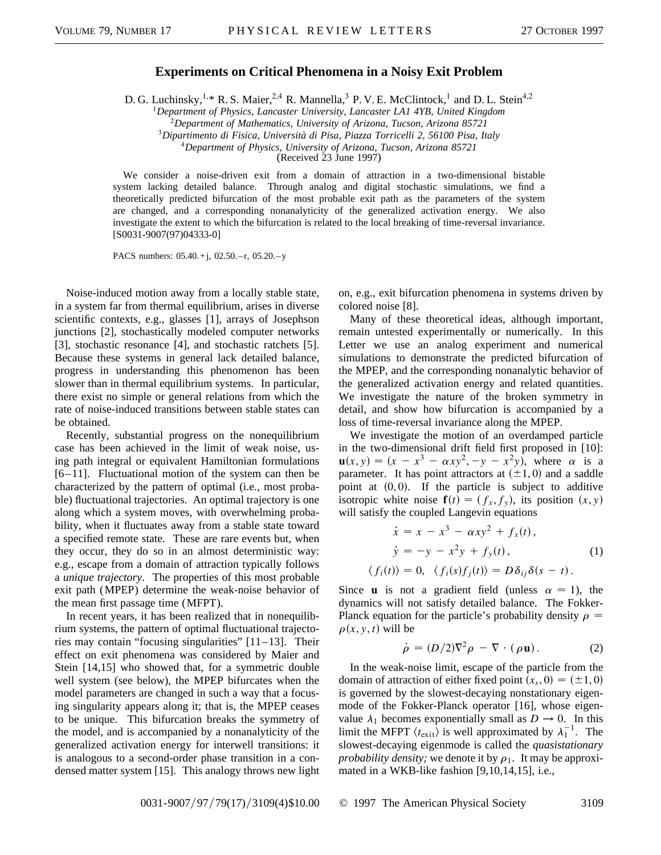## **Experiments on Critical Phenomena in a Noisy Exit Problem**

D. G. Luchinsky,<sup>1,\*</sup> R. S. Maier,<sup>2,4</sup> R. Mannella,<sup>3</sup> P. V. E. McClintock,<sup>1</sup> and D. L. Stein<sup>4,2</sup>

<sup>1</sup>*Department of Physics, Lancaster University, Lancaster LA1 4YB, United Kingdom*

<sup>2</sup>*Department of Mathematics, University of Arizona, Tucson, Arizona 85721*

<sup>3</sup>*Dipartimento di Fisica, Università di Pisa, Piazza Torricelli 2, 56100 Pisa, Italy*

<sup>4</sup>*Department of Physics, University of Arizona, Tucson, Arizona 85721*

(Received 23 June 1997)

We consider a noise-driven exit from a domain of attraction in a two-dimensional bistable system lacking detailed balance. Through analog and digital stochastic simulations, we find a theoretically predicted bifurcation of the most probable exit path as the parameters of the system are changed, and a corresponding nonanalyticity of the generalized activation energy. We also investigate the extent to which the bifurcation is related to the local breaking of time-reversal invariance. [S0031-9007(97)04333-0]

PACS numbers: 05.40.+j, 02.50.-r, 05.20.-y

Noise-induced motion away from a locally stable state, in a system far from thermal equilibrium, arises in diverse scientific contexts, e.g., glasses [1], arrays of Josephson junctions [2], stochastically modeled computer networks [3], stochastic resonance [4], and stochastic ratchets [5]. Because these systems in general lack detailed balance, progress in understanding this phenomenon has been slower than in thermal equilibrium systems. In particular, there exist no simple or general relations from which the rate of noise-induced transitions between stable states can be obtained.

Recently, substantial progress on the nonequilibrium case has been achieved in the limit of weak noise, using path integral or equivalent Hamiltonian formulations [6–11]. Fluctuational motion of the system can then be characterized by the pattern of optimal (i.e., most probable) fluctuational trajectories. An optimal trajectory is one along which a system moves, with overwhelming probability, when it fluctuates away from a stable state toward a specified remote state. These are rare events but, when they occur, they do so in an almost deterministic way: e.g., escape from a domain of attraction typically follows a *unique trajectory*. The properties of this most probable exit path (MPEP) determine the weak-noise behavior of the mean first passage time (MFPT).

In recent years, it has been realized that in nonequilibrium systems, the pattern of optimal fluctuational trajectories may contain "focusing singularities" [11–13]. Their effect on exit phenomena was considered by Maier and Stein [14,15] who showed that, for a symmetric double well system (see below), the MPEP bifurcates when the model parameters are changed in such a way that a focusing singularity appears along it; that is, the MPEP ceases to be unique. This bifurcation breaks the symmetry of the model, and is accompanied by a nonanalyticity of the generalized activation energy for interwell transitions: it is analogous to a second-order phase transition in a condensed matter system [15]. This analogy throws new light on, e.g., exit bifurcation phenomena in systems driven by colored noise [8].

Many of these theoretical ideas, although important, remain untested experimentally or numerically. In this Letter we use an analog experiment and numerical simulations to demonstrate the predicted bifurcation of the MPEP, and the corresponding nonanalytic behavior of the generalized activation energy and related quantities. We investigate the nature of the broken symmetry in detail, and show how bifurcation is accompanied by a loss of time-reversal invariance along the MPEP.

We investigate the motion of an overdamped particle in the two-dimensional drift field first proposed in [10]:  $\mathbf{u}(x, y) = (x - x^3 - \alpha xy^2, -y - x^2y)$ , where  $\alpha$  is a parameter. It has point attractors at  $(\pm 1, 0)$  and a saddle point at  $(0, 0)$ . If the particle is subject to additive isotropic white noise  $f(t) = (f_x, f_y)$ , its position  $(x, y)$ will satisfy the coupled Langevin equations

$$
\dot{x} = x - x^3 - \alpha xy^2 + f_x(t),
$$
  
\n
$$
\dot{y} = -y - x^2 y + f_y(t),
$$
  
\n
$$
\langle f_i(t) \rangle = 0, \ \langle f_i(s) f_j(t) \rangle = D \delta_{ij} \delta(s - t).
$$
\n(1)

Since **u** is not a gradient field (unless  $\alpha = 1$ ), the dynamics will not satisfy detailed balance. The Fokker-Planck equation for the particle's probability density  $\rho =$  $\rho(x, y, t)$  will be

$$
\dot{\rho} = (D/2)\nabla^2 \rho - \nabla \cdot (\rho \mathbf{u}). \tag{2}
$$

In the weak-noise limit, escape of the particle from the domain of attraction of either fixed point  $(x_s, 0) = (\pm 1, 0)$ is governed by the slowest-decaying nonstationary eigenmode of the Fokker-Planck operator [16], whose eigenvalue  $\lambda_1$  becomes exponentially small as  $D \to 0$ . In this limit the MFPT  $\langle t_{\text{exit}} \rangle$  is well approximated by  $\lambda_1^{-1}$ . The slowest-decaying eigenmode is called the *quasistationary probability density;* we denote it by  $\rho_1$ . It may be approximated in a WKB-like fashion [9,10,14,15], i.e.,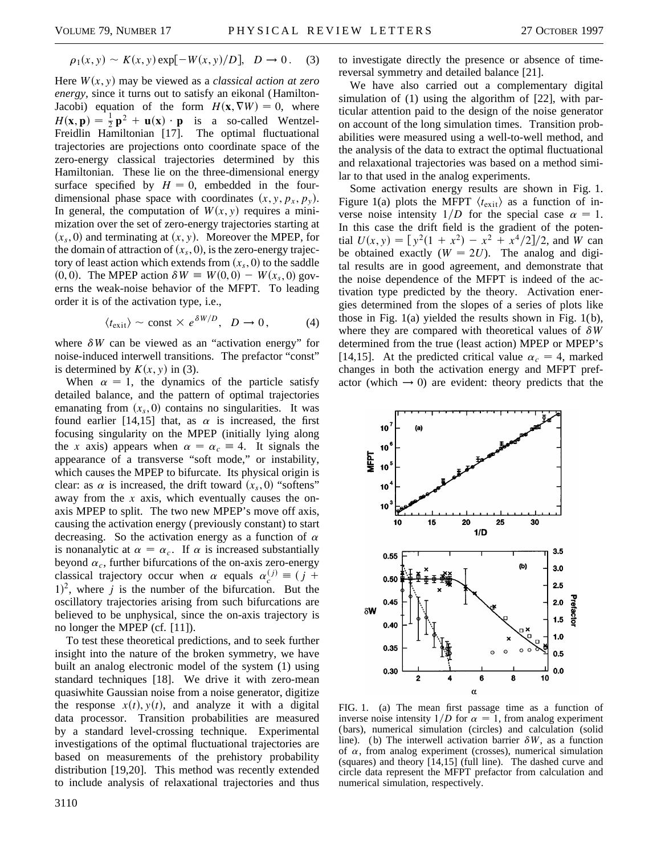$$
\rho_1(x, y) \sim K(x, y) \exp[-W(x, y)/D], \quad D \to 0. \quad (3)
$$

Here  $W(x, y)$  may be viewed as a *classical action at zero energy,* since it turns out to satisfy an eikonal (Hamilton-Jacobi) equation of the form  $H(\mathbf{x}, \nabla W) = 0$ , where  $H(\mathbf{x}, \mathbf{p}) = \frac{1}{2} \mathbf{p}^2 + \mathbf{u}(\mathbf{x}) \cdot \mathbf{p}$  is a so-called Wentzel-Freidlin Hamiltonian [17]. The optimal fluctuational trajectories are projections onto coordinate space of the zero-energy classical trajectories determined by this Hamiltonian. These lie on the three-dimensional energy surface specified by  $H = 0$ , embedded in the fourdimensional phase space with coordinates  $(x, y, p_x, p_y)$ . In general, the computation of  $W(x, y)$  requires a minimization over the set of zero-energy trajectories starting at  $(x<sub>s</sub>, 0)$  and terminating at  $(x, y)$ . Moreover the MPEP, for the domain of attraction of  $(x_s, 0)$ , is the zero-energy trajectory of least action which extends from  $(x<sub>s</sub>, 0)$  to the saddle  $(0, 0)$ . The MPEP action  $\delta W \equiv W(0, 0) - W(x_s, 0)$  governs the weak-noise behavior of the MFPT. To leading order it is of the activation type, i.e.,

$$
\langle t_{\rm exit} \rangle \sim \text{const} \times e^{\delta W/D}, \quad D \to 0, \tag{4}
$$

where  $\delta W$  can be viewed as an "activation energy" for noise-induced interwell transitions. The prefactor "const" is determined by  $K(x, y)$  in (3).

When  $\alpha = 1$ , the dynamics of the particle satisfy detailed balance, and the pattern of optimal trajectories emanating from  $(x_s, 0)$  contains no singularities. It was found earlier [14,15] that, as  $\alpha$  is increased, the first focusing singularity on the MPEP (initially lying along the *x* axis) appears when  $\alpha = \alpha_c \equiv 4$ . It signals the appearance of a transverse "soft mode," or instability, which causes the MPEP to bifurcate. Its physical origin is clear: as  $\alpha$  is increased, the drift toward  $(x_s, 0)$  "softens" away from the *x* axis, which eventually causes the onaxis MPEP to split. The two new MPEP's move off axis, causing the activation energy (previously constant) to start decreasing. So the activation energy as a function of  $\alpha$ is nonanalytic at  $\alpha = \alpha_c$ . If  $\alpha$  is increased substantially beyond  $\alpha_c$ , further bifurcations of the on-axis zero-energy classical trajectory occur when  $\alpha$  equals  $\alpha_{c}^{(j)} \equiv (j +$  $1)^2$ , where *j* is the number of the bifurcation. But the oscillatory trajectories arising from such bifurcations are believed to be unphysical, since the on-axis trajectory is no longer the MPEP (cf. [11]).

To test these theoretical predictions, and to seek further insight into the nature of the broken symmetry, we have built an analog electronic model of the system (1) using standard techniques [18]. We drive it with zero-mean quasiwhite Gaussian noise from a noise generator, digitize the response  $x(t)$ ,  $y(t)$ , and analyze it with a digital data processor. Transition probabilities are measured by a standard level-crossing technique. Experimental investigations of the optimal fluctuational trajectories are based on measurements of the prehistory probability distribution [19,20]. This method was recently extended to include analysis of relaxational trajectories and thus

to investigate directly the presence or absence of timereversal symmetry and detailed balance [21].

We have also carried out a complementary digital simulation of (1) using the algorithm of [22], with particular attention paid to the design of the noise generator on account of the long simulation times. Transition probabilities were measured using a well-to-well method, and the analysis of the data to extract the optimal fluctuational and relaxational trajectories was based on a method similar to that used in the analog experiments.

Some activation energy results are shown in Fig. 1. Figure 1(a) plots the MFPT  $\langle t_{\text{exit}} \rangle$  as a function of inverse noise intensity  $1/D$  for the special case  $\alpha = 1$ . In this case the drift field is the gradient of the poten- $\text{trial } U(x, y) = [y^2(1 + x^2) - x^2 + x^4/2]/2$ , and *W* can be obtained exactly  $(W = 2U)$ . The analog and digital results are in good agreement, and demonstrate that the noise dependence of the MFPT is indeed of the activation type predicted by the theory. Activation energies determined from the slopes of a series of plots like those in Fig. 1(a) yielded the results shown in Fig. 1(b), where they are compared with theoretical values of  $\delta W$ determined from the true (least action) MPEP or MPEP's [14,15]. At the predicted critical value  $\alpha_c = 4$ , marked changes in both the activation energy and MFPT prefactor (which  $\rightarrow$  0) are evident: theory predicts that the



FIG. 1. (a) The mean first passage time as a function of inverse noise intensity  $1/D$  for  $\alpha = 1$ , from analog experiment (bars), numerical simulation (circles) and calculation (solid line). (b) The interwell activation barrier  $\delta W$ , as a function of  $\alpha$ , from analog experiment (crosses), numerical simulation (squares) and theory [14,15] (full line). The dashed curve and circle data represent the MFPT prefactor from calculation and numerical simulation, respectively.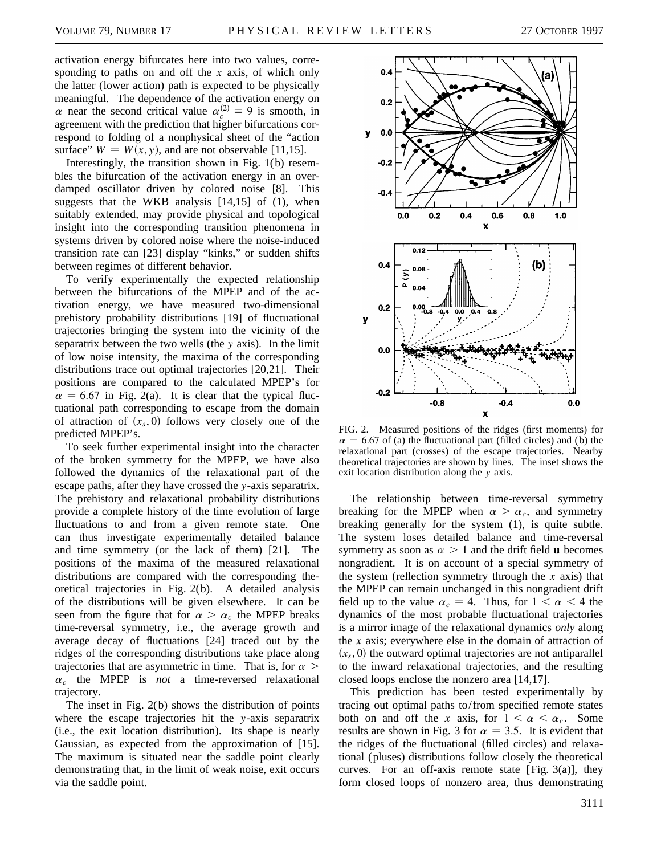activation energy bifurcates here into two values, corresponding to paths on and off the *x* axis, of which only the latter (lower action) path is expected to be physically meaningful. The dependence of the activation energy on  $\alpha$  near the second critical value  $\alpha_c^{(2)} \equiv 9$  is smooth, in agreement with the prediction that higher bifurcations correspond to folding of a nonphysical sheet of the "action surface"  $W = W(x, y)$ , and are not observable [11,15].

Interestingly, the transition shown in Fig. 1(b) resembles the bifurcation of the activation energy in an overdamped oscillator driven by colored noise [8]. This suggests that the WKB analysis  $[14,15]$  of  $(1)$ , when suitably extended, may provide physical and topological insight into the corresponding transition phenomena in systems driven by colored noise where the noise-induced transition rate can [23] display "kinks," or sudden shifts between regimes of different behavior.

To verify experimentally the expected relationship between the bifurcations of the MPEP and of the activation energy, we have measured two-dimensional prehistory probability distributions [19] of fluctuational trajectories bringing the system into the vicinity of the separatrix between the two wells (the *y* axis). In the limit of low noise intensity, the maxima of the corresponding distributions trace out optimal trajectories [20,21]. Their positions are compared to the calculated MPEP's for  $\alpha = 6.67$  in Fig. 2(a). It is clear that the typical fluctuational path corresponding to escape from the domain of attraction of  $(x_s, 0)$  follows very closely one of the predicted MPEP's.

To seek further experimental insight into the character of the broken symmetry for the MPEP, we have also followed the dynamics of the relaxational part of the escape paths, after they have crossed the *y*-axis separatrix. The prehistory and relaxational probability distributions provide a complete history of the time evolution of large fluctuations to and from a given remote state. One can thus investigate experimentally detailed balance and time symmetry (or the lack of them) [21]. The positions of the maxima of the measured relaxational distributions are compared with the corresponding theoretical trajectories in Fig. 2(b). A detailed analysis of the distributions will be given elsewhere. It can be seen from the figure that for  $\alpha > \alpha_c$  the MPEP breaks time-reversal symmetry, i.e., the average growth and average decay of fluctuations [24] traced out by the ridges of the corresponding distributions take place along trajectories that are asymmetric in time. That is, for  $\alpha$  $\alpha_c$  the MPEP is *not* a time-reversed relaxational trajectory.

The inset in Fig. 2(b) shows the distribution of points where the escape trajectories hit the *y*-axis separatrix (i.e., the exit location distribution). Its shape is nearly Gaussian, as expected from the approximation of [15]. The maximum is situated near the saddle point clearly demonstrating that, in the limit of weak noise, exit occurs via the saddle point.



FIG. 2. Measured positions of the ridges (first moments) for  $\alpha$  = 6.67 of (a) the fluctuational part (filled circles) and (b) the relaxational part (crosses) of the escape trajectories. Nearby theoretical trajectories are shown by lines. The inset shows the exit location distribution along the *y* axis.

The relationship between time-reversal symmetry breaking for the MPEP when  $\alpha > \alpha_c$ , and symmetry breaking generally for the system (1), is quite subtle. The system loses detailed balance and time-reversal symmetry as soon as  $\alpha > 1$  and the drift field **u** becomes nongradient. It is on account of a special symmetry of the system (reflection symmetry through the *x* axis) that the MPEP can remain unchanged in this nongradient drift field up to the value  $\alpha_c = 4$ . Thus, for  $1 < \alpha < 4$  the dynamics of the most probable fluctuational trajectories is a mirror image of the relaxational dynamics *only* along the *x* axis; everywhere else in the domain of attraction of  $(x<sub>s</sub>, 0)$  the outward optimal trajectories are not antiparallel to the inward relaxational trajectories, and the resulting closed loops enclose the nonzero area [14,17].

This prediction has been tested experimentally by tracing out optimal paths to/ from specified remote states both on and off the *x* axis, for  $1 < \alpha < \alpha_c$ . Some results are shown in Fig. 3 for  $\alpha = 3.5$ . It is evident that the ridges of the fluctuational (filled circles) and relaxational (pluses) distributions follow closely the theoretical curves. For an off-axis remote state [Fig.  $3(a)$ ], they form closed loops of nonzero area, thus demonstrating